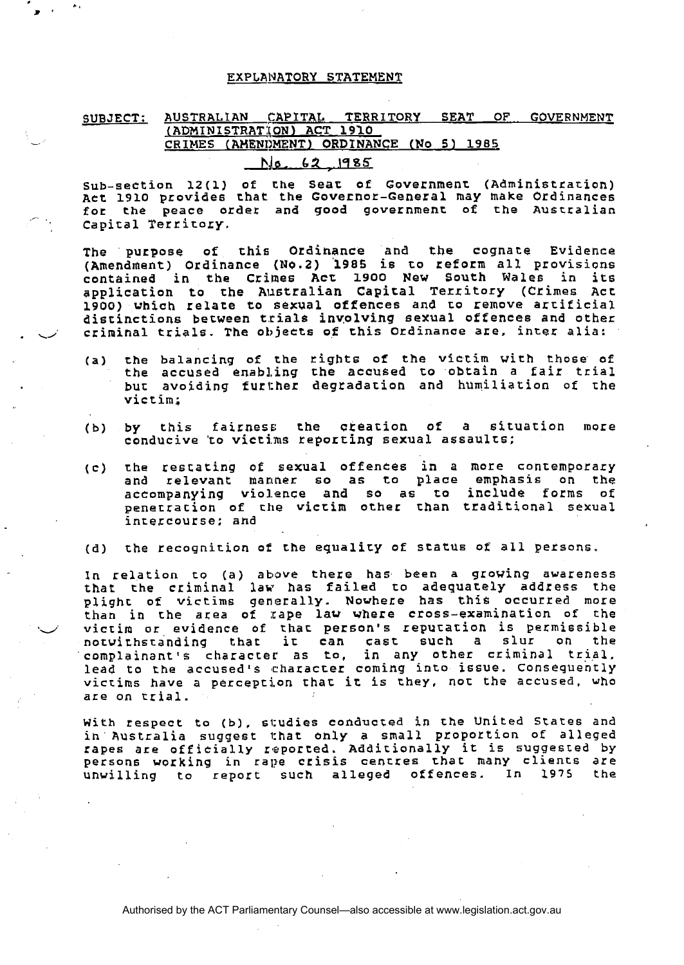### **EXPLANATORY STATEMENT**

# **SUBJECT: AUSTRALIAN CAPITAL TERRITORY SEAT OF GOVERNMENT**  ( **ADMINISTRAT~ON) ACT 1910**  - **CRIMES (AHENIFENTI ORDINANCE (No 5) <sup>1985</sup> 310- 62 ,.1485**

**sub-section 12(1) of Ehe Sear of Government (Administfarion) ~tt 1910 provides that the Governor-General may make Ordinances**  for the peace order and good government of the Australian ., **Capital Territory.** 

**The purpose of this Ordihance and the cognate Evidence (Amendment) Ordinance (N0.2) '1985 is to reform all provisions contained in the Crimes Acr 1900 New South Wales in its application to the Alletralian Capical Territory (Crimes Act 1900) which relare to sexual offences and to remove artificial**  distinctions between trials involving sexual offences and other<br>criminal trials. The objects of this Ordinance are, inter alia: contained in the Crimes Act 1900 New South Wales in its<br>application to the Australian Capital Territory (Crimes Act<br>1900) which relate to sexual offences and to remove artificial<br>distinctions between trials involving sexua

- **(a) the balancing of the rights of the viccim with those of the accused enabling the accused to obtain a fair trial bur: avoiding fur1:her degradarion and humiliation of the victim;**
- (b) by this fairness the creation of a situation more conducive to victims reporting sexual assaults;
- **(c) the restating of sexual offences in a more contemporary**  and relevant manner so as to place emphasis on the **accompanying vio1,enee and so as ro include forms of penerracion of che vicrim other than traditional sexual intercourse; ahd**
- (d) the recognition of the equality of status of all persons.

In **relation to (a) above there has been a growing awareness that the criminal law has Failed to adequately address the plighc of victims generally. Nowhe~e has thie occurred more**  than in the area of rape law where cross-examination of the **\*d victim or evidence of chat person's repurarion is permissible notwithstanding that it can cast such a slur on the**  complainant's character as to, **lead to the accused's characrer coming into issue. COnseqUently victims have a perception that it is they, not the accused, who are on trial.** 

With respect to (b), studies conducted in the United States and **ih' Australia suggest 1:har ohly a small proportion of alleged rapes are officially reported. Additionally it is suggested by persons working in** rape **crisis centres thac many cliencs are unvilling to report such alleged offences. In 1975 the**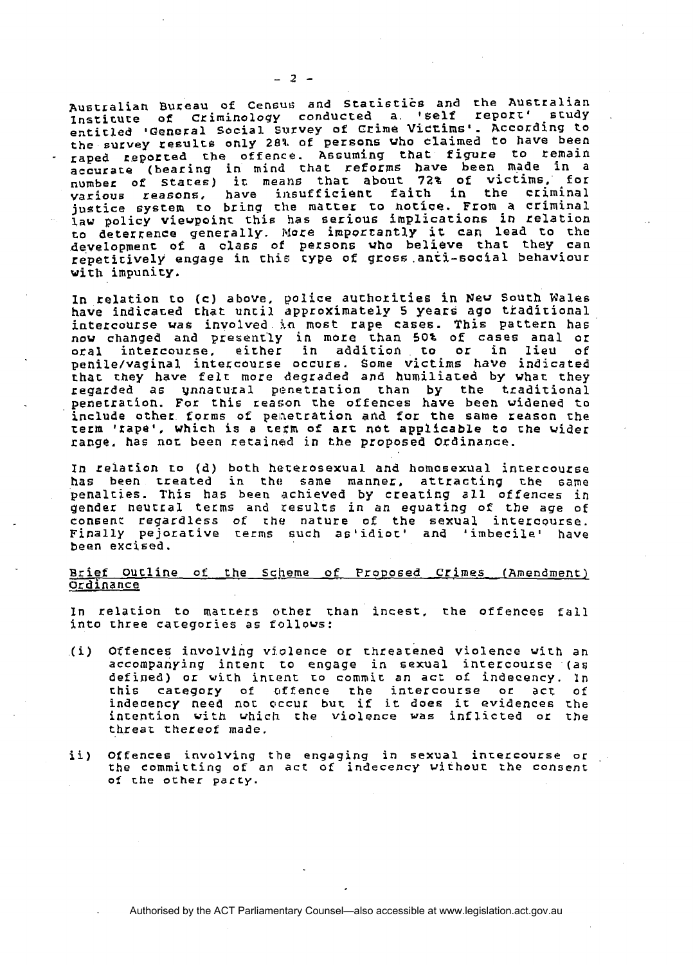Australian Bureau of Census and Statistics and the Australian<br>Institute of Criminology conducted a. '6elf report' study<br>Australian a. entitled 'General Social Survey of Crime Victims'. According to the survey resulrs only **20%** of persons who claimed to **have** been - aped ~eporced cbe offence. Assuming that **figure** to remain aecurace (bearing **in** mind that reforms have been made in a number of **Staces) it means** that about 72% of victims, for various reasons, have insufficient faith in the criminal justice system to bring the matter to notice. From a criminal **law** policy vievpoinr this **has** serious implications **in** relation to deterrence generally. lrlore importantly it **can** lead co the development of a class of persons who believe that they can repetitively **engage** in chis cype of gross.anti-social behaviour with impunity.

In kelation to **(c)** above, police authorities in New South Wales have indicated chat until approximately **5 years** ago ttadirional intercourse was involved in most rape cases. This pattern has now changed and present'ly in more than 50% of cases anal or oral intercourse. **either** in addition to or in **lieu of**  penile/vaginal intercourse occurs. Some **victims** have indicated **rhac** they have felt more degraded and humiliated by what they regarded as ynnacural penetration than by the traditional penetrarion. For this reason the offences have been widened to include other forms of penetration and for the same reason the term 'rape', which is a rerm of **arc** not applicable to *Che* **wider**  range. has nor. been retained in the proposed Ordinance.

In relacion ro (d) both haferosexual and homosexual intercourse **has** been **treated** in the same manner, attracting **the** same penalties. This has been achieved by creating all offences in gender neucral. terms and results in an equating **of** the **age** of consenr regardless **of che** nature of the sexual intercourse. **Finally** pejorative terms **such** as'idio~' and 'imbecile' have been excised.

## Brief Oucline of the **scheme** of ProPosed **Crimes** (Amendment) Ordinance

In relatioh to macters ocher chan **incest,** the offences fall into three categories as follows:

- .(i) Offences involving vj.olence or threatened violence **virh** an accompanying intent to engage in sexual intercourse (as defined) or with intent to commit an act of indecency. In chis cacegory of offence **the** intercourse or act of indecency need not clccur but if **it does it** evidences the intention **with which che** violence vas inflicted OK the threat thereof made,
- ii) Offences invdlving the engaging in sexual incercourse or the committing of an **act** of indecency vichouc **the** consent of rhe other party.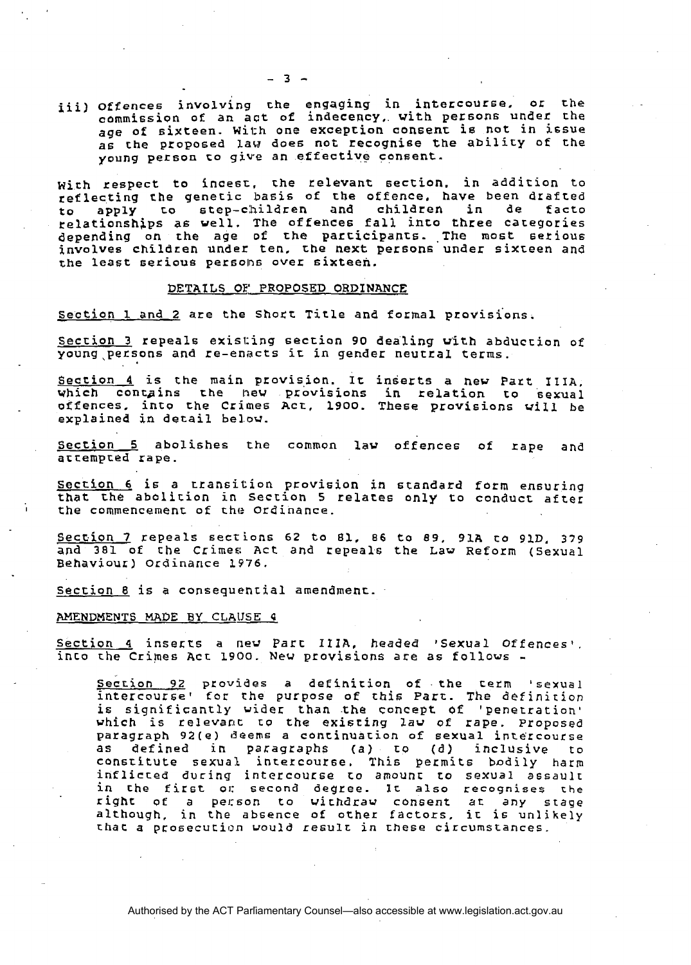iii) offences involving the engaging in intercourse. or the commission of an act of indecency,. vith persons under **rrhe**  age of sixteen. **With** one exception consenr is not in issue as che proposed law does not recognise the abilicy of the young person co **give** an effective consent.

with respect to incesr, che relevant 6ection. in addition to reflecting the genetic basis of the offence, have been drafted<br>to apply to step-children and children in de facto to apply **LO** step-c:hildren and children in de facto relationshgps **a6** well. The offences fall inco three categories depending on the age **of the** parcicipanrs. **.The** most setioue involves children under ten. the next persons under sixreen and the least serious persons over sixteen.

#### **DETAILS** OF **PROPOSED** ORDINANCE

section 1 and 2 are the Shoct Title and formal provisions.

Section 3 repeals existing section 90 dealing With abduction of young,petsons and re-enacts ic in gender neutral terms.

Section 4 is the main provision. It inserts a new Part IIIA, which contains the **hew provisions in relation to sexual** offences. into ehe Crimes Act, 1900. These provisions **vill** be explained in detail below.

Section 5 abolishes the common **law** offences of rape and accempced rape.

section 6 is a rransition provision in standard form ensuring that the abolition in Section 5 relates only to conduct after the commencement of the Ordinance.

Section 7 repeals sections 62 to 81, 86 to 89, 91A to 91D, 379 and **381** of **che** Crimes Act and repeals the **Law** Reform (sexual Behaviour) Ordinance **1976.** 

Section 8 is a consequential amendment.

#### **AMENDMENTS MADE BY CLAUSE 4**

Section 4 inserts a new Part IIIA, headed 'Sexual Offences', inco rhe Crimes Acr 1900. New provisions are as follows -

Secrion **92** provides a definirion of the term 'sexual intercourset far **the** purpose of this Part. The definirion is significantly wider than the concept of 'penetration' vhich is relevarlt to the existing *law* of rape. Proposed paragraph **92(e) deems** a continuation of **sexual** intercourse as defined in paragraphs (a) **Eo** (d) inclusive to constitute sexual intercourse. This permits bodily harm inflicted during intercourse ro amount to **sexual** assault in the first or second degree. It also recognises the righr of a pecson to withdraw **consent ar any** stage although, in the absence of other factors. it **is** unlikely that a prosecution would result in these circumstances.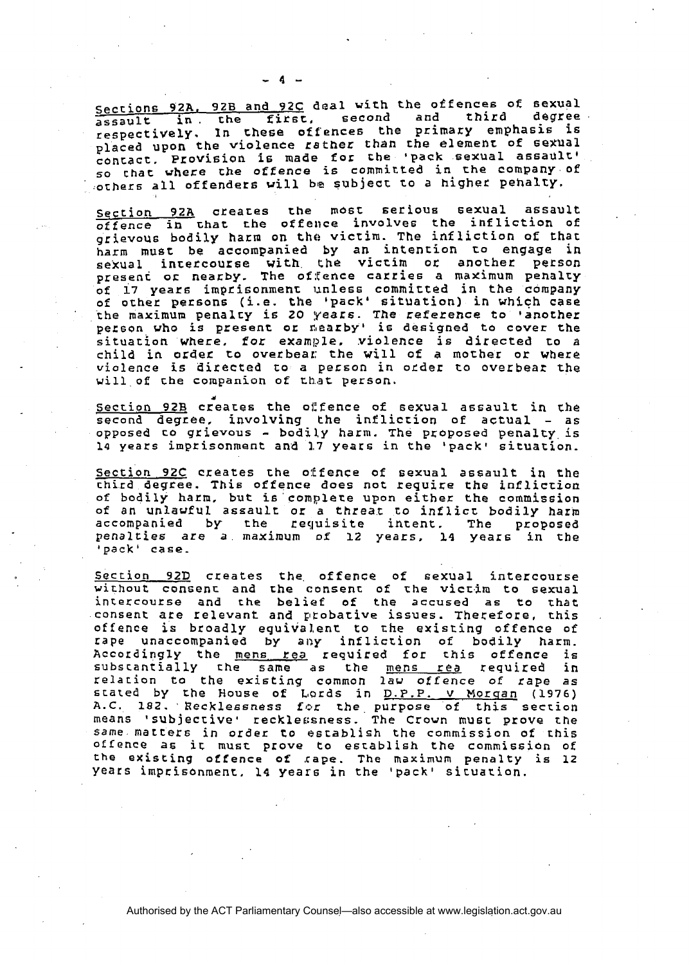sections **92A. 92B** and **92C** deal with the offences of sexual assault in. che first, second and third degree respectively. In chese offences the primary emphasis is placed **upon** the violence **rather** than che **elemenr** of sexual contact. Provision is made **for** the 'pack sexual assault' so that where the offence is committed in the company of others all offenders will be subject to a higher pehalty.

Section 92A creates the most serious sexual assault offence **i** chat the offence involves the infliction of grievous bodily harm **on** the **victim.** The in£ liction of that harm must be accompanied by **an** intencion co **engage** in sexual, inretcourse with the victim or another person present **or** nearby. **The** of:Ccnce carries a maximum pehalty of 17 years imprisonment unless committed in the company of **other** persons **(i.e. the** 'pack' situation) in which **case**  the **maximum** penalcy is 20 years. The reference to 'another person vho is present or nearby' **is** designed **te** cover the possous and the restance of matter, violence is directed to a child in order **to** overbear; the will of a mocher or where violence is directed to a person in order to overbear the vill of **che** companion of that person.

**d**  section **92B** creaces the ol:fence of sexual assault in **che**  second degree. involving the infliction of actual - as opposed to grievous - bodily harm. The proposed penalty, is 14 years imprisonment and **1,7** years in the 'pack' situation.

Section 92C creates the offence of sexual assault in the chird degree. This offence does not require the infliction of bodily harm, but is complete upon either the commission of an unlawful assaulr or a threat co **inflicc** bodily harm accompanied by the requisite incent. The proposed penalties are a maximum of 12 years, 14 years in the 'pack' case.

Section 92D creates the offence of sexual intercourse vithout consenc and the consent of rhe **victim** to sexual inrercourse and the belief of the accused as to rhat consent are relevant and probative issues. Therefore, this offence is broadly equivalent to the existing offence of rape unaccompanied by **any** infliction of bodily harm. Accordingly the mens rea required for this offence is subscantially the same as the mens rea required in relation to the **existing** common lav offence of rape as stated by the House of Lords in <u>D.P.P. v Morgan</u> (1976) A.C. 182. Recklessness for the purpose of this section<br>means 'subjective' recklessness. The Crown must prove the **Same** marcers in order **to** astablish the commission of c his offence as it must prove to establish the commission of **the** existing offence of .cape. The **maximum** penalty is 12 years impcisonmenc, **14** years in **the** 'pack1 sicuarion.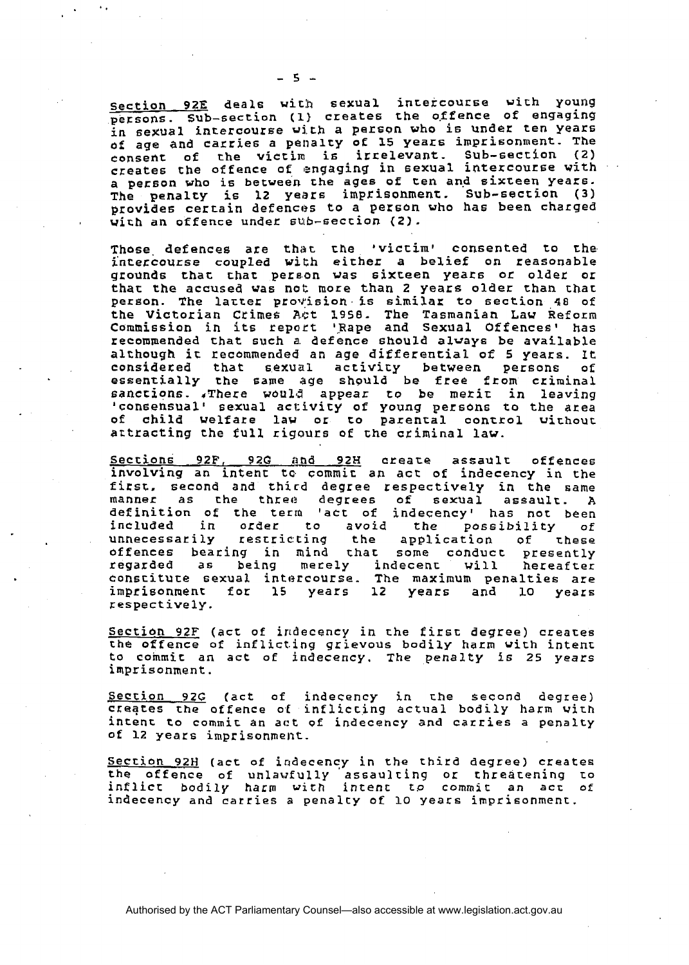Section 92E deals with sexual intercourse with young persons. Sub-section (1) creates the offence **of** engaging in sexual intercourse **with** a person **who** is under ten years **of age** and carries a penalty of 15 years imprisonment. **The**  consent of the victim **6** irrelevant- Sub-seccion (2) creates the offence of engaging in **sexual** intercourse with a person who is between the **ages** of Pen and sixteen years. The **penalty** is 12 years imprisonment. Sub-section (3) provides certain defences to a person who has been charged with an offence under sub-seccion (2).

Those defences are that the 'victim' consented to the **\$nceccourse** coupled **wich** either a belief on reasonable grounds thac chat pereon **vas** sixceen years or older or thac the accused **was** not more than 2 years older than char person. The latter provision is similar to section 48 of the Victorian Crimes Act **1958.** The Tasmanian **Law** Reform commission in its report 'Rape and Sexual Offences' has recommended that such a defence snould **alvays** be available although ir recammended an **age** differential of 5 yeacx. It **consideted** that sexual activity between persons of essentially the same age should be free from criminal sanccions. ,There **would** appear to be merit in leaving 'consensual' sexual activity of young persons to the area of child welfare law or to parencal control vithour artracting the full rigours of the cziminal law.

Seccions **92F, 92G ;and 92H** creare assaulc offences involving an intent tc. commit an **act** of indecency in the first. second and third degree respectively in the same manner as che threc? degrees of sexual assaulc. **A**  definition of the term 'act of indecency' has not been included in order to **avoid** the possibility of unnecessarily restricting the application of these offences bearing in mind char some canducc presently fegarded as **being** merely indecent will hereafter constitute sexual intercourse. The maximum penalties are imprisonment for 15 years 12 years and lo years respectively.

Sectian **92F** (act of iridecency in the firsc degree) creaces the offence of inflicting grievous bodily harm with intent to coinmic an **act** of indecency. **The** penalty **is** 25 **years**  imprisonment.

Section **92G** (act of indecency in che second degree) creates the offence **of** inflicting actual bodily harm with incent to commir an act of indecehcy and carries a penalty of 12 years imprisonment.

Section 92H (act of indecency in the third degree) creates the offence of unlawfully assaulting or threatening to inflict bodily harm with intent **to** comrnic an **acc** of indecency and carries a penalcy of **lo** years imprisonmenc.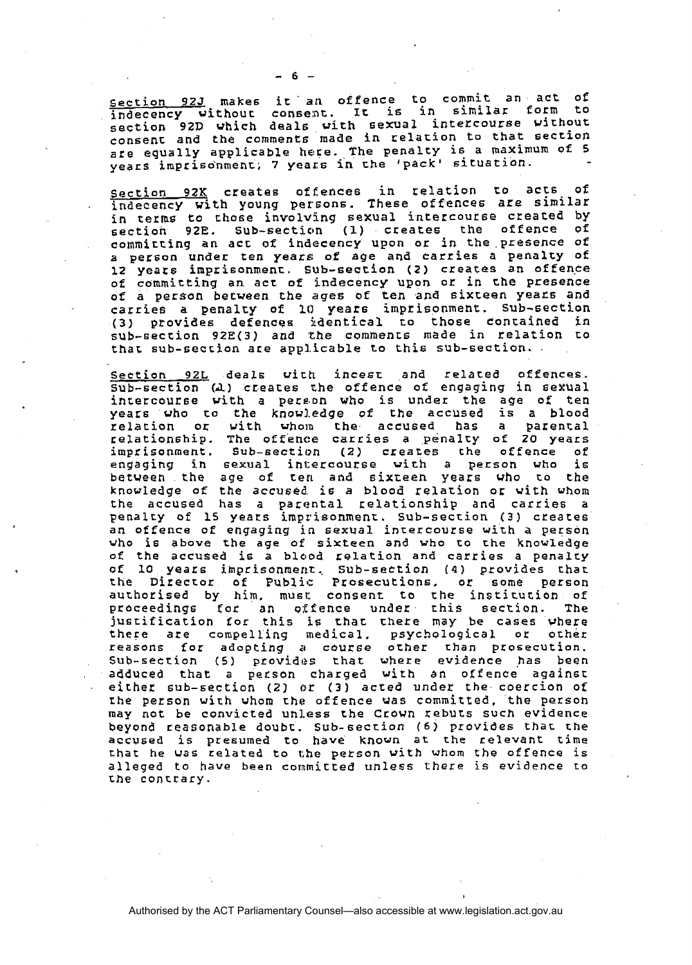Section **92J makes** ir' *at1* offence to commit an act of indecency without consent. It is in similar form to section 92D which deals vich sexual intercouree virhout consenc and the comments made in relation to that seccion are equally applicable here. The penalry **is** a maximum of 5 years imprisonment; 7 years in the 'pack' situation.

Section **92K**  indecency **vi**  in terms to those involving sexual intercourse created by<br>section 92E. Sub-section (1) creates the offence of section 92E. Sub-section (1) creates the offence creates **offences** in relation **to** acts of .th young persons. These offences are **similar**  commirting **an** acc **of** indecency upon or in the presence of a person under ten **years:** of **age and** carries a penalry of 12 **yeats** imprisonmenc. Sub-seccion (2) creates an oEfen.ce of committing **an** act of indecency upon or in che **presence**  of a person becveen che **ages** of ten and sixreen yeats and carries a penalcy of 10 years imprisonment. sub-section (3) provides defences identical to those contained in sub-seccion **92E(3) and** \*the commencs made in relation to that sub-section are applicable to this sub-section...

Section **92L** deals **wirh** incesr and related offences. sub-section **(A)** creaces che offence **of** engaging in sexual intercourse vith a pere.on who is under the age of **ten**  years who to the knowledge of the accused is a blood relacion or vith vholn the accused has a parental relationship. The offence carries a **penalrsy** of **20** years imprisonment. Sub-section (2) creates the offence of engaging in sexual intercourse vith a person **who** is between the age of ten and sixzeen **years** who to the knowledge of the accused is a blood relation or vith whom the accused has a parental relationship and carries a penalry of **15** years imprisonment. sub-section (3) creates an offence of engaging in sexual inrercourse with a person who is above the age of **sixteen** and vho co the knowledge of the accused is a blood relation and carries a penalty of **10** years irnprisonmerrt., **Sub-section (4)** provides thac the Director of Public Prosecutions, or some person authorised by him, must consent to the institution of<br>proceedings for an offence under this section. The proceedings for an offence under this section. justification for this is that there may be cases where<br>there are compelling medical, psychological or other there are compelling medical. reasons for adopting **a** cburse ocher than prosecution. Sub-section (5) provides that where evidence has been adduced that a petson charged with an offence againsc either sub-section **(21** or **(3)** acted under the coercion of rhe person wirh **whom** the offence was committed. the person may not be convicted **un1,ess** the croun rebucs **such** evidence beyond reasonable doubc. Sub-secrion *(6)* provides thaL the accvsed is presumed to have known at the relevant time chat he **was** related to **che** person vith whom the offence is alleged to **have** been cornmicted unless **there** is evidence Lo **the** contrary.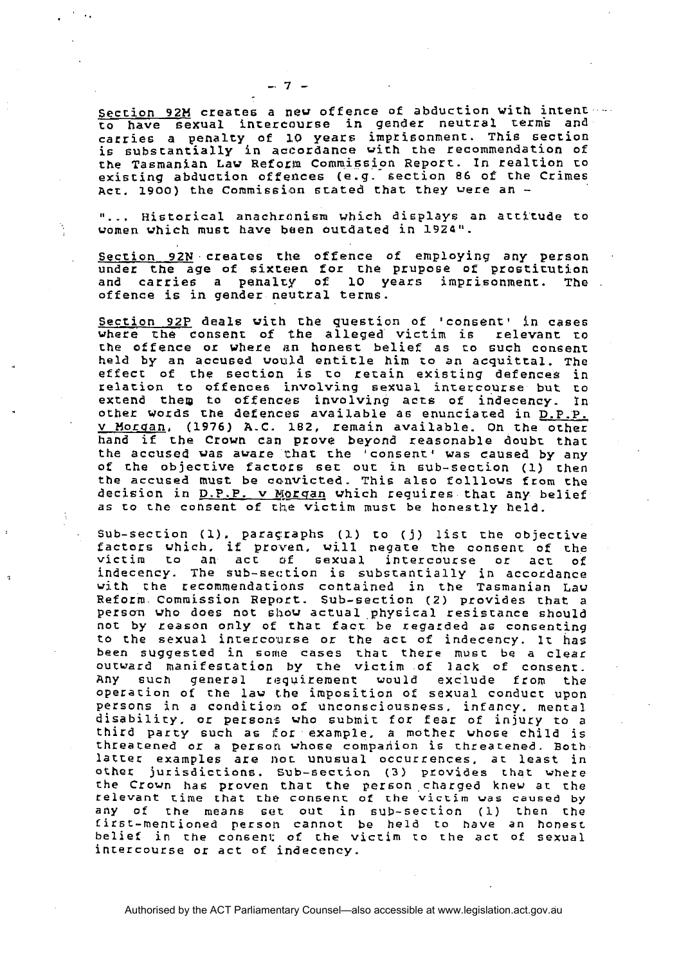Section 92M creates a new offence of abduction with intent ---<br>to have sexual intercourse in gender neutral terms and carries a penalty of **1.0** years impri6onmenc. This section is subscantially **in** accordance vith rhe recommendation of the Tasmanian Law Reform Commission Report. In realtion to exiscing abduction offences (e.g. Section 86 of che Crimes Act. 1900) the Commission stated that they were an  $-$ 

 $-7-$ 

"... Historical anachronism which displays an attitude to women which must have Wen outdated in **l9Z4".** 

Section 92N creates the offence of employing any person under the **age** of sixreen for the prupose of prostitution and carries a pehalty of 10 years imprisonment. The offence is in gender neutral terms.

Section **92P** deals vith che question of 'consent' in cases where **rhe** consenr of the alleged victim is relevant **ro**  che offence or where **din** honest belief as co such consenr held by an accused would entitle him to an acquittal. The effecc of che section **is** to retain existing defences in relation to offence6 involving sexual intercourse **but** co extend them to offences involving acts of indecency. In other words rhe defencus available **a6** enunciated in D.P.P. v Horqan, **(1976) A.C.** 182, remain available. Qh the ocher hand if rhe Crown can prove beyond reasonable doubr thae the accused was aware that the 'consent' was caused by any of the objeccive factors **sec** ouc ih sub-section (1) chen the accused **must** be **caavicted.** This also folllows from che decision in **P.P.P. v W[arqan** vhich requires thac any belief as to the consent of the victim must be honestly held.

Sub-secrion (1). paraqraphs (I) co (j) list the objective factors vhich. if proven. will negare the consent of **che**  victim to an act of sexual intercourse or act of<br>indecency. The sub-section is substantially in accordance with the recommendations contained in the Tasmanian Law Reform omm mission Report. Sub-section (2) provides chat a **person** who does not show actual physical resiscance should not by reason only of thac facr be zegarded as consenting **to** che sexual intercosurse or the acL of indecency. **1c** has been suggested in some cases char there must **be** a clear outward manifestation by the **victim** of lack of consenc. Any **such** general requirement would exclude from the operation of the **law [he** imposition of sexual conducc upon persons in a condition of unconsciousness. infancy. mental disability. or persons vho submit for fear of injury to a third party such as for example. a mother Whose child is threatened or a person vhose compahion is threacened. Both latrec examples are noc unusual occurrences. **ar** least in other; jurisdiction6. **Sub-secrion (3)** provides chat where **the** Crown ha6 proven that the person charged knev at che relevant cime chat che cohsenc of the **victim was caused** by **any** of the means set out in sub-seccion (1) then the titst-mentioned person cannot be held to have **an** honest belief in the consenl; of the viccirn **ro** the **acr:** of sexual incercourse or act of indecency.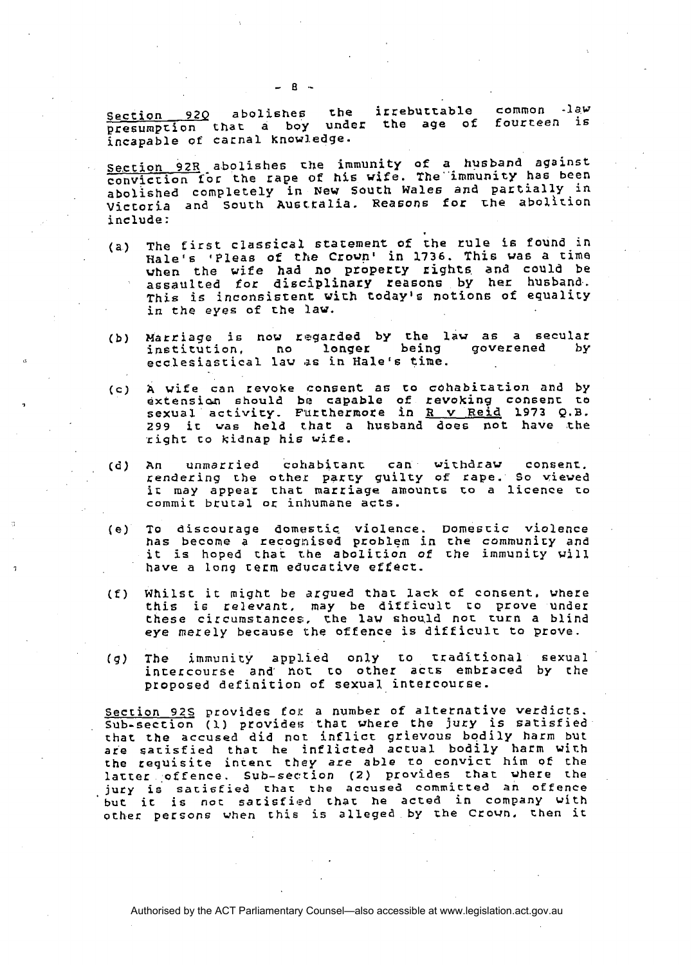ection 92Q abolishes the iffebuttable common -law<br>resumption that a boy under the age of fourteen is incapable **of** carnal know1,edge.

ection 92R abolishes the immunity of a husband against conviction for the rape **of** his **wife.** The"immunity has been abolished completely in New South **Wale6** and partially **in**  Victoria and South Ausctalia. Reasons **for rhe** abolition include :

- (a) The first classical Statement of the rule **Is** found in Hale's 'Pleas of the Croun' in 1736. This va6 a time **vhen** the **vife** had no properry rights and could be assaulted for **disciplinazy** reasons by her husband. This is inconsistent with today's notions of equality in the eyes of rhe **law.**
- (b) Marriage is now regarded by the law **a6** a secular institution, no **longer** being goverened **by**  ecclesiastical lav as in Hale's time.
- (c) **A** wife can revoke consent as to **cohabicazion** and by extensian **should** be capable of revoking consenc **to sexual** activity. F'Urthermote in R v Reid 1973 Q.B. 299 ir was held chat a husband does not have .the righc to kidnap his **wife.**
- (d) An unmarried cohabitant can **wirhdrav** consenr. endering the other party guilty of rape. So viewed ic **may** appear chat marriage amounts to **a** licence to commit brutal or inhumane **acts.**
- **(e)** To discourage domastic. violence. Domescic violence has become a recognised problem in the *community and* **it** is hoped thac **the** abolition of che immunity **will**  have a long cerm educative effect.
- **(f)** Whilst it **might** be argued thar **lack** of consent. vhere this is relevant, may be difficult to prove under these circumstances:, **the** law **shou,ld** nor **turn** a blind **eye** merely because the offence is difficult to prove.
- **(g) The** immunity applied only to rraditional sexual intercourse and not to other acts embraced by the proposed definition of sexual intercoucse.

Section **92s** provides fop a number of alternative **verdicts.**  Sub-section (1) provides that where the jury is satisfied that the **accused** did **not** inflict grievous bodily harm but are sarisfied that he inflicted **actual** bodily harm with the requisite inrenr **they** are **able** co convict him **of** the latter offence. Sub-section (2) provides that where the **jury** is **satisfied** that **the accused** committed an offence ' **but** it is not sarisfied rhar he acted in company with **other** persons **when chis** is alleged by the Crovn, Chen it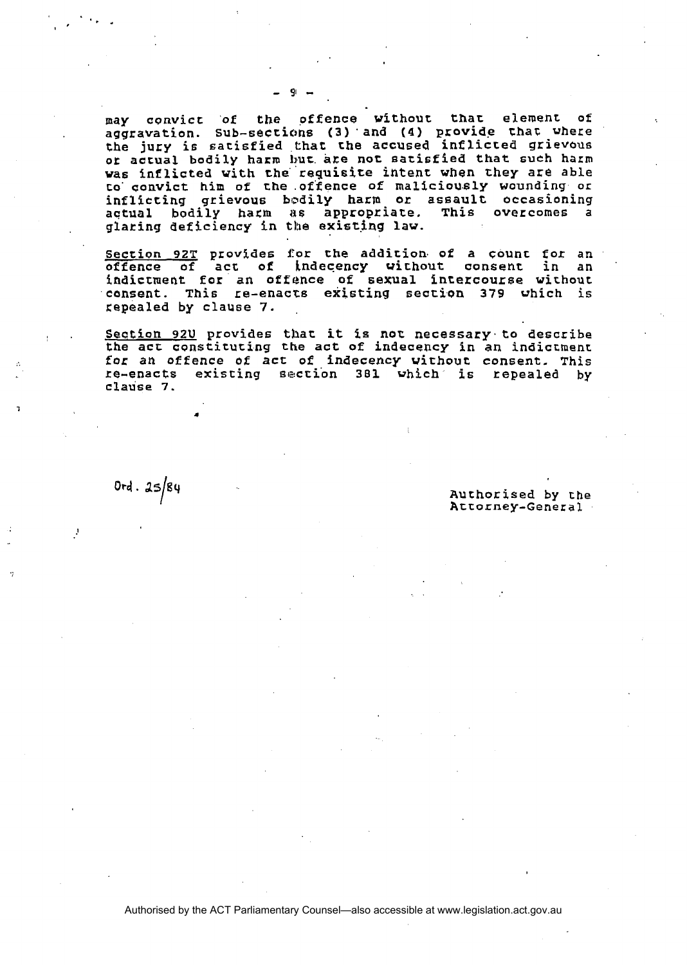**may convict of the offence vithout thar element of aggravation. sub-seccic,hs (3)'and (4) provide** chat **where the jury** is **satisfied that che accused inflicred grievous**  or actual bodily harm but are not satisfied that such harm **vas inflicted vith the requisite intent when they are able to' oonvict him of che .offence of maliciou.sly wounding or inflicting grievous bodily harm or assault occasioning actual bodily ham a6 appropriare. This overcomes a glaring deficiency in the existing law.** 

**Section 92T provides for the addition of a count for an offence of act of indecency wichout consent in an**  indictment **for an offence of sexual intercourse without consent.** This **re-enacts existing section 379 vhich is kepealed by clause 7.** ,

, . **Seetion 92U provides that it is nor necessary. to describe the act constituting the act of indecency in an indicchenr for an offence of act of indecency without consent. This re-enacts existing 61sction 381 vhich is repealed by clause 7.** 

 $0rd.25/84$ 

**Authorised by the Attorney-General**